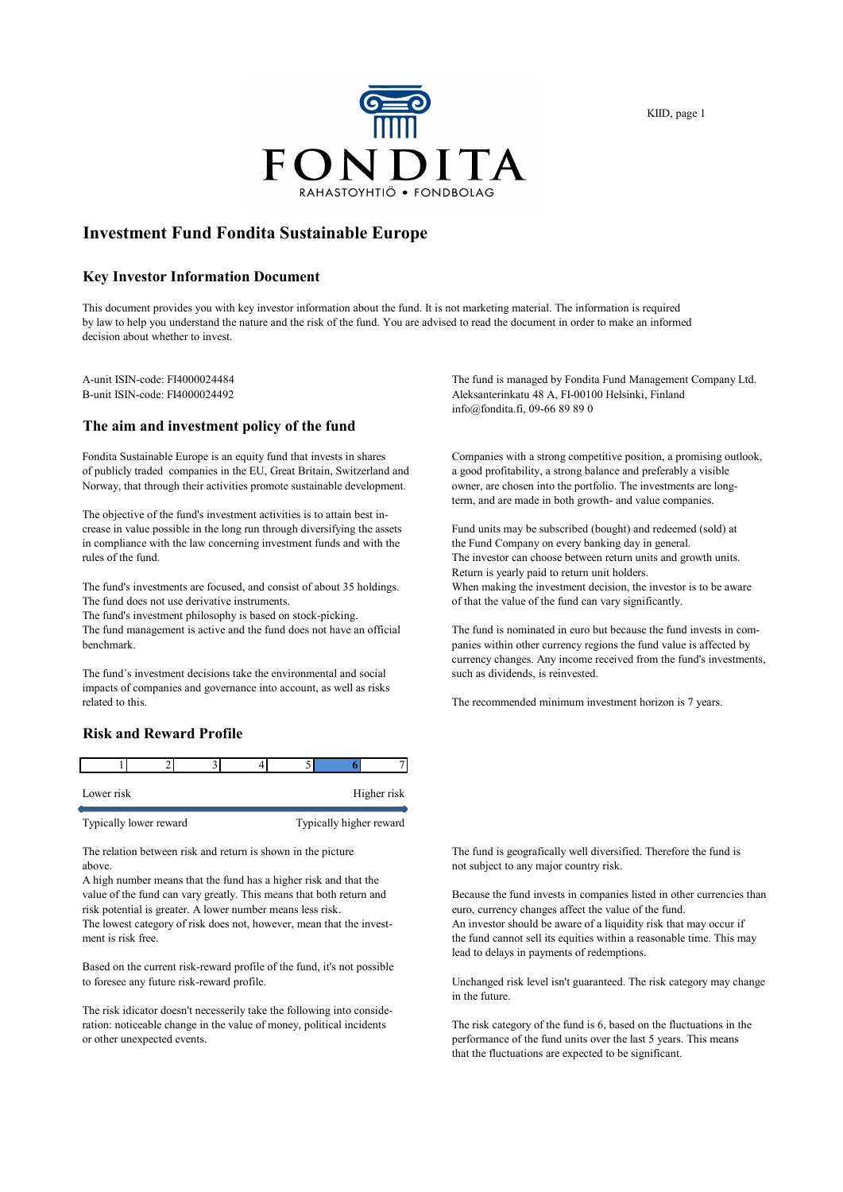

KIID, page 1

## **Investment Fund Fondita Sustainable Europe**

#### **Key Investor Information Document**

This document provides you with key investor information about the fund. It is not marketing material. The information is required by law to help you understand the nature and the risk of the fund. You are advised to read the document in order to make an informed decision about whether to invest.

#### **The aim and investment policy of the fund**

Fondita Sustainable Europe is an equity fund that invests in shares Companies with a strong competitive position, a promising outlook, of publicly traded companies in the EU, Great Britain, Switzerland and a good profitability, a strong balance and preferably a visible Norway, that through their activities promote sustainable development. owner, are chosen into the portfolio. The investments are long-

The objective of the fund's investment activities is to attain best increase in value possible in the long run through diversifying the assets Fund units may be subscribed (bought) and redeemed (sold) at in compliance with the law concerning investment funds and with the the Fund Company on every banking day in general.<br>The investor can choose between return units and or

The fund does not use derivative instruments.  $\qquad \qquad$  of that the value of the fund can vary significantly.

The fund's investment philosophy is based on stock-picking.

benchmark. panies within other currency regions the fund value is affected by

The fund's investment decisions take the environmental and social such as dividends, is reinvested. impacts of companies and governance into account, as well as risks

#### **Risk and Reward Profile**

| Lower risk |  |  | Higher risk |
|------------|--|--|-------------|

Typically lower reward Typically higher reward

above. The subject to any major country risk.

A high number means that the fund has a higher risk and that the value of the fund can vary greatly. This means that both return and Because the fund invests in companies listed in other currencies than risk potential is greater. A lower number means less risk. euro, currency changes affect the value of the fund. The lowest category of risk does not, however, mean that the invest- An investor should be aware of a liquidity risk that may occur if

Based on the current risk-reward profile of the fund, it's not possible

The risk idicator doesn't necesserily take the following into consideration: noticeable change in the value of money, political incidents The risk category of the fund is 6, based on the fluctuations in the or other unexpected events. performance of the fund units over the last 5 years. This means

A-unit ISIN-code: FI4000024484<br>
B-unit ISIN-code: FI4000024492<br>
Aleksanterinkatu 48 A, FI-00100 Helsinki, Finland Aleksanterinkatu 48 A, FI-00100 Helsinki, Finland info@fondita.fi, 09-66 89 89 0

term, and are made in both growth- and value companies.

The investor can choose between return units and growth units. Return is yearly paid to return unit holders. The fund's investments are focused, and consist of about 35 holdings. When making the investment decision, the investor is to be aware

The fund management is active and the fund does not have an official The fund is nominated in euro but because the fund invests in comcurrency changes. Any income received from the fund's investments,

The recommended minimum investment horizon is 7 years.

The relation between risk and return is shown in the picture The fund is geografically well diversified. Therefore the fund is

ment is risk free. the fund cannot sell its equities within a reasonable time. This may lead to delays in payments of redemptions.

> Unchanged risk level isn't guaranteed. The risk category may change in the future.

that the fluctuations are expected to be significant.